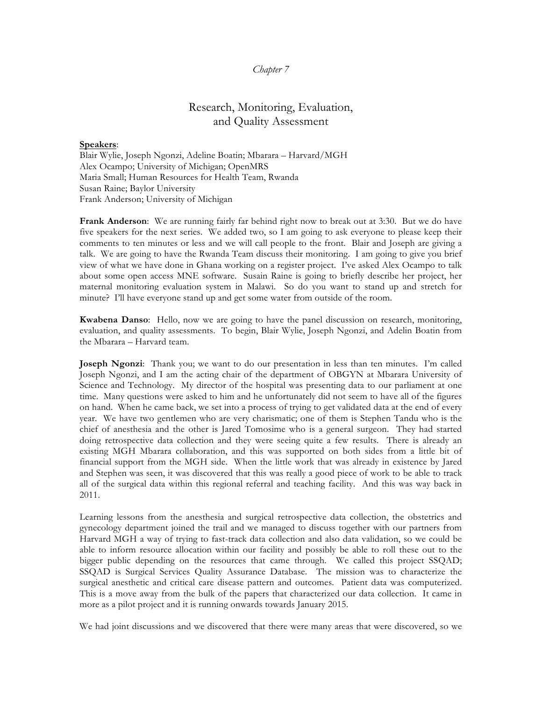## *Chapter 7*

# Research, Monitoring, Evaluation, and Quality Assessment

#### **Speakers**:

Blair Wylie, Joseph Ngonzi, Adeline Boatin; Mbarara – Harvard/MGH Alex Ocampo; University of Michigan; OpenMRS Maria Small; Human Resources for Health Team, Rwanda Susan Raine; Baylor University Frank Anderson; University of Michigan

**Frank Anderson**: We are running fairly far behind right now to break out at 3:30. But we do have five speakers for the next series. We added two, so I am going to ask everyone to please keep their comments to ten minutes or less and we will call people to the front. Blair and Joseph are giving a talk. We are going to have the Rwanda Team discuss their monitoring. I am going to give you brief view of what we have done in Ghana working on a register project. I've asked Alex Ocampo to talk about some open access MNE software. Susain Raine is going to briefly describe her project, her maternal monitoring evaluation system in Malawi. So do you want to stand up and stretch for minute? I'll have everyone stand up and get some water from outside of the room.

**Kwabena Danso**: Hello, now we are going to have the panel discussion on research, monitoring, evaluation, and quality assessments. To begin, Blair Wylie, Joseph Ngonzi, and Adelin Boatin from the Mbarara – Harvard team.

**Joseph Ngonzi**: Thank you; we want to do our presentation in less than ten minutes. I'm called Joseph Ngonzi, and I am the acting chair of the department of OBGYN at Mbarara University of Science and Technology. My director of the hospital was presenting data to our parliament at one time. Many questions were asked to him and he unfortunately did not seem to have all of the figures on hand. When he came back, we set into a process of trying to get validated data at the end of every year. We have two gentlemen who are very charismatic; one of them is Stephen Tandu who is the chief of anesthesia and the other is Jared Tomosime who is a general surgeon. They had started doing retrospective data collection and they were seeing quite a few results. There is already an existing MGH Mbarara collaboration, and this was supported on both sides from a little bit of financial support from the MGH side. When the little work that was already in existence by Jared and Stephen was seen, it was discovered that this was really a good piece of work to be able to track all of the surgical data within this regional referral and teaching facility. And this was way back in 2011.

Learning lessons from the anesthesia and surgical retrospective data collection, the obstetrics and gynecology department joined the trail and we managed to discuss together with our partners from Harvard MGH a way of trying to fast-track data collection and also data validation, so we could be able to inform resource allocation within our facility and possibly be able to roll these out to the bigger public depending on the resources that came through. We called this project SSQAD; SSQAD is Surgical Services Quality Assurance Database. The mission was to characterize the surgical anesthetic and critical care disease pattern and outcomes. Patient data was computerized. This is a move away from the bulk of the papers that characterized our data collection. It came in more as a pilot project and it is running onwards towards January 2015.

We had joint discussions and we discovered that there were many areas that were discovered, so we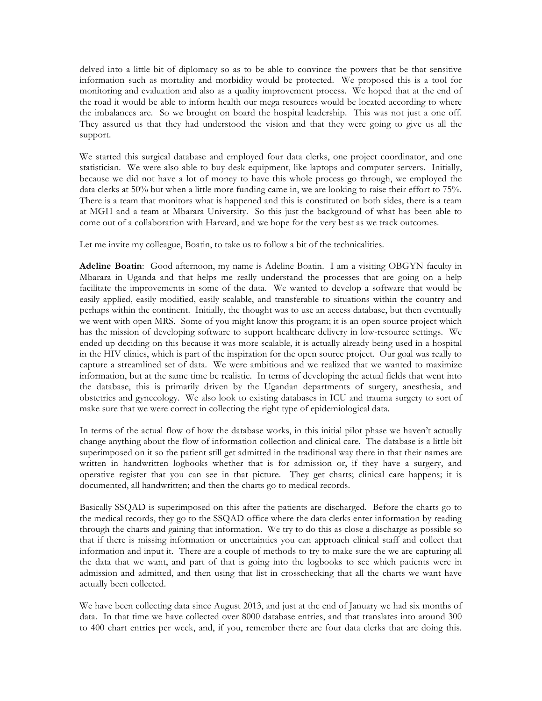delved into a little bit of diplomacy so as to be able to convince the powers that be that sensitive information such as mortality and morbidity would be protected. We proposed this is a tool for monitoring and evaluation and also as a quality improvement process. We hoped that at the end of the road it would be able to inform health our mega resources would be located according to where the imbalances are. So we brought on board the hospital leadership. This was not just a one off. They assured us that they had understood the vision and that they were going to give us all the support.

We started this surgical database and employed four data clerks, one project coordinator, and one statistician. We were also able to buy desk equipment, like laptops and computer servers. Initially, because we did not have a lot of money to have this whole process go through, we employed the data clerks at 50% but when a little more funding came in, we are looking to raise their effort to 75%. There is a team that monitors what is happened and this is constituted on both sides, there is a team at MGH and a team at Mbarara University. So this just the background of what has been able to come out of a collaboration with Harvard, and we hope for the very best as we track outcomes.

Let me invite my colleague, Boatin, to take us to follow a bit of the technicalities.

**Adeline Boatin**: Good afternoon, my name is Adeline Boatin. I am a visiting OBGYN faculty in Mbarara in Uganda and that helps me really understand the processes that are going on a help facilitate the improvements in some of the data. We wanted to develop a software that would be easily applied, easily modified, easily scalable, and transferable to situations within the country and perhaps within the continent. Initially, the thought was to use an access database, but then eventually we went with open MRS. Some of you might know this program; it is an open source project which has the mission of developing software to support healthcare delivery in low-resource settings. We ended up deciding on this because it was more scalable, it is actually already being used in a hospital in the HIV clinics, which is part of the inspiration for the open source project. Our goal was really to capture a streamlined set of data. We were ambitious and we realized that we wanted to maximize information, but at the same time be realistic. In terms of developing the actual fields that went into the database, this is primarily driven by the Ugandan departments of surgery, anesthesia, and obstetrics and gynecology. We also look to existing databases in ICU and trauma surgery to sort of make sure that we were correct in collecting the right type of epidemiological data.

In terms of the actual flow of how the database works, in this initial pilot phase we haven't actually change anything about the flow of information collection and clinical care. The database is a little bit superimposed on it so the patient still get admitted in the traditional way there in that their names are written in handwritten logbooks whether that is for admission or, if they have a surgery, and operative register that you can see in that picture. They get charts; clinical care happens; it is documented, all handwritten; and then the charts go to medical records.

Basically SSQAD is superimposed on this after the patients are discharged. Before the charts go to the medical records, they go to the SSQAD office where the data clerks enter information by reading through the charts and gaining that information. We try to do this as close a discharge as possible so that if there is missing information or uncertainties you can approach clinical staff and collect that information and input it. There are a couple of methods to try to make sure the we are capturing all the data that we want, and part of that is going into the logbooks to see which patients were in admission and admitted, and then using that list in crosschecking that all the charts we want have actually been collected.

We have been collecting data since August 2013, and just at the end of January we had six months of data. In that time we have collected over 8000 database entries, and that translates into around 300 to 400 chart entries per week, and, if you, remember there are four data clerks that are doing this.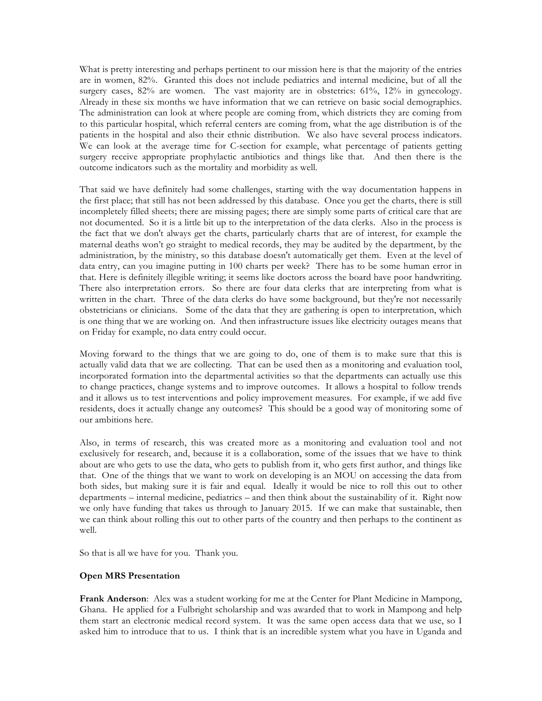What is pretty interesting and perhaps pertinent to our mission here is that the majority of the entries are in women, 82%. Granted this does not include pediatrics and internal medicine, but of all the surgery cases,  $82\%$  are women. The vast majority are in obstetrics:  $61\%$ ,  $12\%$  in gynecology. Already in these six months we have information that we can retrieve on basic social demographics. The administration can look at where people are coming from, which districts they are coming from to this particular hospital, which referral centers are coming from, what the age distribution is of the patients in the hospital and also their ethnic distribution. We also have several process indicators. We can look at the average time for C-section for example, what percentage of patients getting surgery receive appropriate prophylactic antibiotics and things like that. And then there is the outcome indicators such as the mortality and morbidity as well.

That said we have definitely had some challenges, starting with the way documentation happens in the first place; that still has not been addressed by this database. Once you get the charts, there is still incompletely filled sheets; there are missing pages; there are simply some parts of critical care that are not documented. So it is a little bit up to the interpretation of the data clerks. Also in the process is the fact that we don't always get the charts, particularly charts that are of interest, for example the maternal deaths won't go straight to medical records, they may be audited by the department, by the administration, by the ministry, so this database doesn't automatically get them. Even at the level of data entry, can you imagine putting in 100 charts per week? There has to be some human error in that. Here is definitely illegible writing; it seems like doctors across the board have poor handwriting. There also interpretation errors. So there are four data clerks that are interpreting from what is written in the chart. Three of the data clerks do have some background, but they're not necessarily obstetricians or clinicians. Some of the data that they are gathering is open to interpretation, which is one thing that we are working on. And then infrastructure issues like electricity outages means that on Friday for example, no data entry could occur.

Moving forward to the things that we are going to do, one of them is to make sure that this is actually valid data that we are collecting. That can be used then as a monitoring and evaluation tool, incorporated formation into the departmental activities so that the departments can actually use this to change practices, change systems and to improve outcomes. It allows a hospital to follow trends and it allows us to test interventions and policy improvement measures. For example, if we add five residents, does it actually change any outcomes? This should be a good way of monitoring some of our ambitions here.

Also, in terms of research, this was created more as a monitoring and evaluation tool and not exclusively for research, and, because it is a collaboration, some of the issues that we have to think about are who gets to use the data, who gets to publish from it, who gets first author, and things like that. One of the things that we want to work on developing is an MOU on accessing the data from both sides, but making sure it is fair and equal. Ideally it would be nice to roll this out to other departments – internal medicine, pediatrics – and then think about the sustainability of it. Right now we only have funding that takes us through to January 2015. If we can make that sustainable, then we can think about rolling this out to other parts of the country and then perhaps to the continent as well.

So that is all we have for you. Thank you.

### **Open MRS Presentation**

**Frank Anderson**: Alex was a student working for me at the Center for Plant Medicine in Mampong, Ghana. He applied for a Fulbright scholarship and was awarded that to work in Mampong and help them start an electronic medical record system. It was the same open access data that we use, so I asked him to introduce that to us. I think that is an incredible system what you have in Uganda and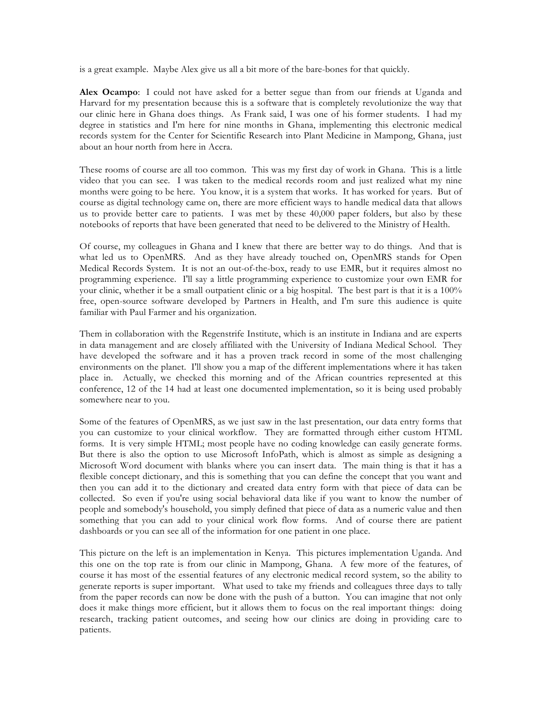is a great example. Maybe Alex give us all a bit more of the bare-bones for that quickly.

**Alex Ocampo**: I could not have asked for a better segue than from our friends at Uganda and Harvard for my presentation because this is a software that is completely revolutionize the way that our clinic here in Ghana does things. As Frank said, I was one of his former students. I had my degree in statistics and I'm here for nine months in Ghana, implementing this electronic medical records system for the Center for Scientific Research into Plant Medicine in Mampong, Ghana, just about an hour north from here in Accra.

These rooms of course are all too common. This was my first day of work in Ghana. This is a little video that you can see. I was taken to the medical records room and just realized what my nine months were going to be here. You know, it is a system that works. It has worked for years. But of course as digital technology came on, there are more efficient ways to handle medical data that allows us to provide better care to patients. I was met by these 40,000 paper folders, but also by these notebooks of reports that have been generated that need to be delivered to the Ministry of Health.

Of course, my colleagues in Ghana and I knew that there are better way to do things. And that is what led us to OpenMRS. And as they have already touched on, OpenMRS stands for Open Medical Records System. It is not an out-of-the-box, ready to use EMR, but it requires almost no programming experience. I'll say a little programming experience to customize your own EMR for your clinic, whether it be a small outpatient clinic or a big hospital. The best part is that it is a 100% free, open-source software developed by Partners in Health, and I'm sure this audience is quite familiar with Paul Farmer and his organization.

Them in collaboration with the Regenstrife Institute, which is an institute in Indiana and are experts in data management and are closely affiliated with the University of Indiana Medical School. They have developed the software and it has a proven track record in some of the most challenging environments on the planet. I'll show you a map of the different implementations where it has taken place in. Actually, we checked this morning and of the African countries represented at this conference, 12 of the 14 had at least one documented implementation, so it is being used probably somewhere near to you.

Some of the features of OpenMRS, as we just saw in the last presentation, our data entry forms that you can customize to your clinical workflow. They are formatted through either custom HTML forms. It is very simple HTML; most people have no coding knowledge can easily generate forms. But there is also the option to use Microsoft InfoPath, which is almost as simple as designing a Microsoft Word document with blanks where you can insert data. The main thing is that it has a flexible concept dictionary, and this is something that you can define the concept that you want and then you can add it to the dictionary and created data entry form with that piece of data can be collected. So even if you're using social behavioral data like if you want to know the number of people and somebody's household, you simply defined that piece of data as a numeric value and then something that you can add to your clinical work flow forms. And of course there are patient dashboards or you can see all of the information for one patient in one place.

This picture on the left is an implementation in Kenya. This pictures implementation Uganda. And this one on the top rate is from our clinic in Mampong, Ghana. A few more of the features, of course it has most of the essential features of any electronic medical record system, so the ability to generate reports is super important. What used to take my friends and colleagues three days to tally from the paper records can now be done with the push of a button. You can imagine that not only does it make things more efficient, but it allows them to focus on the real important things: doing research, tracking patient outcomes, and seeing how our clinics are doing in providing care to patients.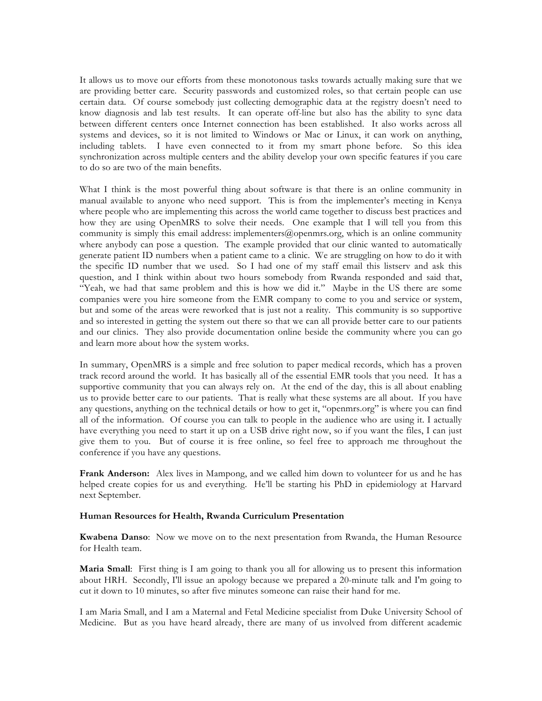It allows us to move our efforts from these monotonous tasks towards actually making sure that we are providing better care. Security passwords and customized roles, so that certain people can use certain data. Of course somebody just collecting demographic data at the registry doesn't need to know diagnosis and lab test results. It can operate off-line but also has the ability to sync data between different centers once Internet connection has been established. It also works across all systems and devices, so it is not limited to Windows or Mac or Linux, it can work on anything, including tablets. I have even connected to it from my smart phone before. So this idea synchronization across multiple centers and the ability develop your own specific features if you care to do so are two of the main benefits.

What I think is the most powerful thing about software is that there is an online community in manual available to anyone who need support. This is from the implementer's meeting in Kenya where people who are implementing this across the world came together to discuss best practices and how they are using OpenMRS to solve their needs. One example that I will tell you from this community is simply this email address: implementers@openmrs.org, which is an online community where anybody can pose a question. The example provided that our clinic wanted to automatically generate patient ID numbers when a patient came to a clinic. We are struggling on how to do it with the specific ID number that we used. So I had one of my staff email this listserv and ask this question, and I think within about two hours somebody from Rwanda responded and said that, "Yeah, we had that same problem and this is how we did it." Maybe in the US there are some companies were you hire someone from the EMR company to come to you and service or system, but and some of the areas were reworked that is just not a reality. This community is so supportive and so interested in getting the system out there so that we can all provide better care to our patients and our clinics. They also provide documentation online beside the community where you can go and learn more about how the system works.

In summary, OpenMRS is a simple and free solution to paper medical records, which has a proven track record around the world. It has basically all of the essential EMR tools that you need. It has a supportive community that you can always rely on. At the end of the day, this is all about enabling us to provide better care to our patients. That is really what these systems are all about. If you have any questions, anything on the technical details or how to get it, "openmrs.org" is where you can find all of the information. Of course you can talk to people in the audience who are using it. I actually have everything you need to start it up on a USB drive right now, so if you want the files, I can just give them to you. But of course it is free online, so feel free to approach me throughout the conference if you have any questions.

**Frank Anderson:** Alex lives in Mampong, and we called him down to volunteer for us and he has helped create copies for us and everything. He'll be starting his PhD in epidemiology at Harvard next September.

### **Human Resources for Health, Rwanda Curriculum Presentation**

**Kwabena Danso**: Now we move on to the next presentation from Rwanda, the Human Resource for Health team.

**Maria Small**: First thing is I am going to thank you all for allowing us to present this information about HRH. Secondly, I'll issue an apology because we prepared a 20-minute talk and I'm going to cut it down to 10 minutes, so after five minutes someone can raise their hand for me.

I am Maria Small, and I am a Maternal and Fetal Medicine specialist from Duke University School of Medicine. But as you have heard already, there are many of us involved from different academic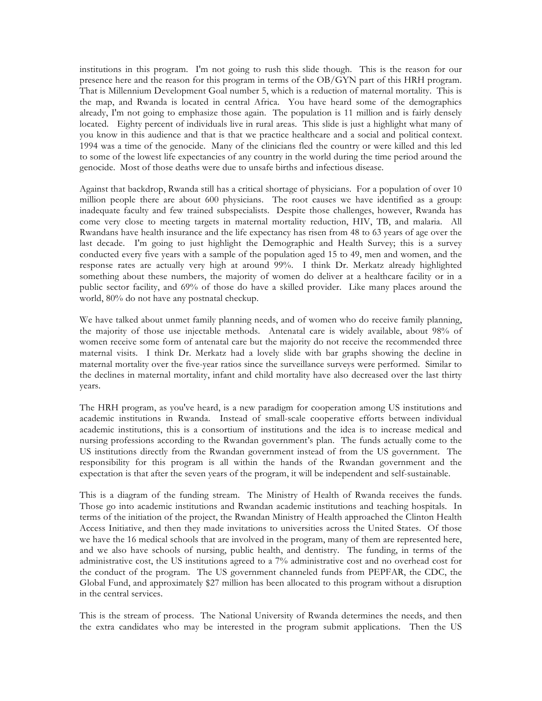institutions in this program. I'm not going to rush this slide though. This is the reason for our presence here and the reason for this program in terms of the OB/GYN part of this HRH program. That is Millennium Development Goal number 5, which is a reduction of maternal mortality. This is the map, and Rwanda is located in central Africa. You have heard some of the demographics already, I'm not going to emphasize those again. The population is 11 million and is fairly densely located. Eighty percent of individuals live in rural areas. This slide is just a highlight what many of you know in this audience and that is that we practice healthcare and a social and political context. 1994 was a time of the genocide. Many of the clinicians fled the country or were killed and this led to some of the lowest life expectancies of any country in the world during the time period around the genocide. Most of those deaths were due to unsafe births and infectious disease.

Against that backdrop, Rwanda still has a critical shortage of physicians. For a population of over 10 million people there are about 600 physicians. The root causes we have identified as a group: inadequate faculty and few trained subspecialists. Despite those challenges, however, Rwanda has come very close to meeting targets in maternal mortality reduction, HIV, TB, and malaria. All Rwandans have health insurance and the life expectancy has risen from 48 to 63 years of age over the last decade. I'm going to just highlight the Demographic and Health Survey; this is a survey conducted every five years with a sample of the population aged 15 to 49, men and women, and the response rates are actually very high at around 99%. I think Dr. Merkatz already highlighted something about these numbers, the majority of women do deliver at a healthcare facility or in a public sector facility, and 69% of those do have a skilled provider. Like many places around the world, 80% do not have any postnatal checkup.

We have talked about unmet family planning needs, and of women who do receive family planning, the majority of those use injectable methods. Antenatal care is widely available, about 98% of women receive some form of antenatal care but the majority do not receive the recommended three maternal visits. I think Dr. Merkatz had a lovely slide with bar graphs showing the decline in maternal mortality over the five-year ratios since the surveillance surveys were performed. Similar to the declines in maternal mortality, infant and child mortality have also decreased over the last thirty years.

The HRH program, as you've heard, is a new paradigm for cooperation among US institutions and academic institutions in Rwanda. Instead of small-scale cooperative efforts between individual academic institutions, this is a consortium of institutions and the idea is to increase medical and nursing professions according to the Rwandan government's plan. The funds actually come to the US institutions directly from the Rwandan government instead of from the US government. The responsibility for this program is all within the hands of the Rwandan government and the expectation is that after the seven years of the program, it will be independent and self-sustainable.

This is a diagram of the funding stream. The Ministry of Health of Rwanda receives the funds. Those go into academic institutions and Rwandan academic institutions and teaching hospitals. In terms of the initiation of the project, the Rwandan Ministry of Health approached the Clinton Health Access Initiative, and then they made invitations to universities across the United States. Of those we have the 16 medical schools that are involved in the program, many of them are represented here, and we also have schools of nursing, public health, and dentistry. The funding, in terms of the administrative cost, the US institutions agreed to a 7% administrative cost and no overhead cost for the conduct of the program. The US government channeled funds from PEPFAR, the CDC, the Global Fund, and approximately \$27 million has been allocated to this program without a disruption in the central services.

This is the stream of process. The National University of Rwanda determines the needs, and then the extra candidates who may be interested in the program submit applications. Then the US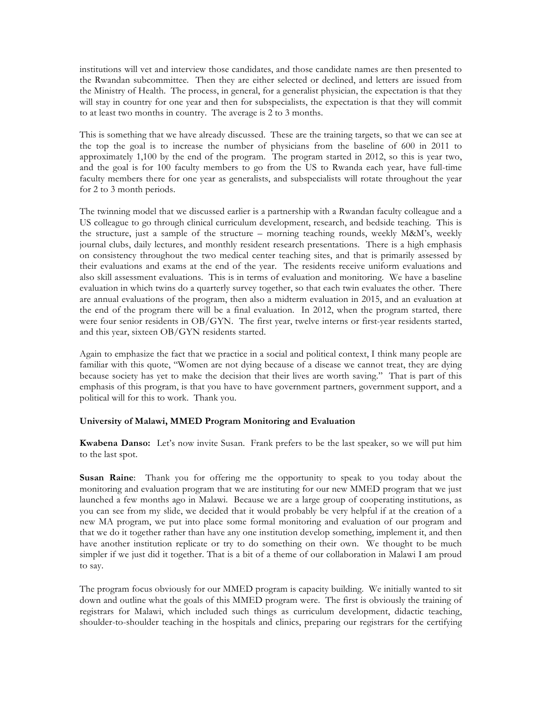institutions will vet and interview those candidates, and those candidate names are then presented to the Rwandan subcommittee. Then they are either selected or declined, and letters are issued from the Ministry of Health. The process, in general, for a generalist physician, the expectation is that they will stay in country for one year and then for subspecialists, the expectation is that they will commit to at least two months in country. The average is 2 to 3 months.

This is something that we have already discussed. These are the training targets, so that we can see at the top the goal is to increase the number of physicians from the baseline of 600 in 2011 to approximately 1,100 by the end of the program. The program started in 2012, so this is year two, and the goal is for 100 faculty members to go from the US to Rwanda each year, have full-time faculty members there for one year as generalists, and subspecialists will rotate throughout the year for 2 to 3 month periods.

The twinning model that we discussed earlier is a partnership with a Rwandan faculty colleague and a US colleague to go through clinical curriculum development, research, and bedside teaching. This is the structure, just a sample of the structure – morning teaching rounds, weekly M&M's, weekly journal clubs, daily lectures, and monthly resident research presentations. There is a high emphasis on consistency throughout the two medical center teaching sites, and that is primarily assessed by their evaluations and exams at the end of the year. The residents receive uniform evaluations and also skill assessment evaluations. This is in terms of evaluation and monitoring. We have a baseline evaluation in which twins do a quarterly survey together, so that each twin evaluates the other. There are annual evaluations of the program, then also a midterm evaluation in 2015, and an evaluation at the end of the program there will be a final evaluation. In 2012, when the program started, there were four senior residents in OB/GYN. The first year, twelve interns or first-year residents started, and this year, sixteen OB/GYN residents started.

Again to emphasize the fact that we practice in a social and political context, I think many people are familiar with this quote, "Women are not dying because of a disease we cannot treat, they are dying because society has yet to make the decision that their lives are worth saving." That is part of this emphasis of this program, is that you have to have government partners, government support, and a political will for this to work. Thank you.

## **University of Malawi, MMED Program Monitoring and Evaluation**

**Kwabena Danso:** Let's now invite Susan. Frank prefers to be the last speaker, so we will put him to the last spot.

**Susan Raine**: Thank you for offering me the opportunity to speak to you today about the monitoring and evaluation program that we are instituting for our new MMED program that we just launched a few months ago in Malawi. Because we are a large group of cooperating institutions, as you can see from my slide, we decided that it would probably be very helpful if at the creation of a new MA program, we put into place some formal monitoring and evaluation of our program and that we do it together rather than have any one institution develop something, implement it, and then have another institution replicate or try to do something on their own. We thought to be much simpler if we just did it together. That is a bit of a theme of our collaboration in Malawi I am proud to say.

The program focus obviously for our MMED program is capacity building. We initially wanted to sit down and outline what the goals of this MMED program were. The first is obviously the training of registrars for Malawi, which included such things as curriculum development, didactic teaching, shoulder-to-shoulder teaching in the hospitals and clinics, preparing our registrars for the certifying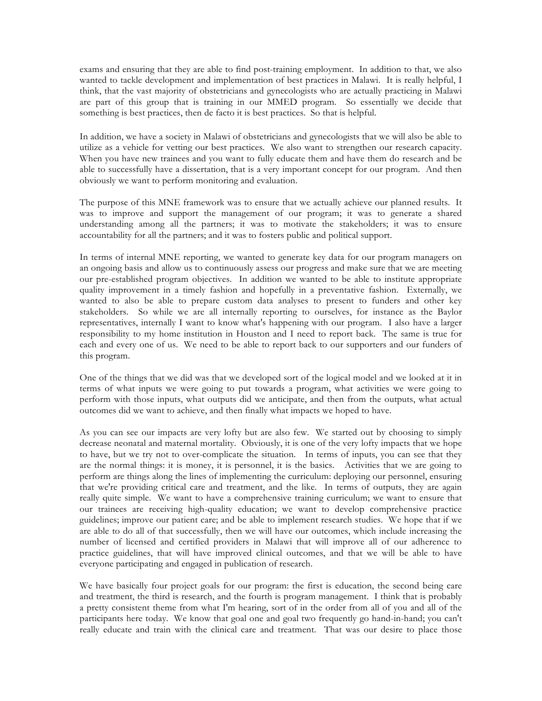exams and ensuring that they are able to find post-training employment. In addition to that, we also wanted to tackle development and implementation of best practices in Malawi. It is really helpful, I think, that the vast majority of obstetricians and gynecologists who are actually practicing in Malawi are part of this group that is training in our MMED program. So essentially we decide that something is best practices, then de facto it is best practices. So that is helpful.

In addition, we have a society in Malawi of obstetricians and gynecologists that we will also be able to utilize as a vehicle for vetting our best practices. We also want to strengthen our research capacity. When you have new trainees and you want to fully educate them and have them do research and be able to successfully have a dissertation, that is a very important concept for our program. And then obviously we want to perform monitoring and evaluation.

The purpose of this MNE framework was to ensure that we actually achieve our planned results. It was to improve and support the management of our program; it was to generate a shared understanding among all the partners; it was to motivate the stakeholders; it was to ensure accountability for all the partners; and it was to fosters public and political support.

In terms of internal MNE reporting, we wanted to generate key data for our program managers on an ongoing basis and allow us to continuously assess our progress and make sure that we are meeting our pre-established program objectives. In addition we wanted to be able to institute appropriate quality improvement in a timely fashion and hopefully in a preventative fashion. Externally, we wanted to also be able to prepare custom data analyses to present to funders and other key stakeholders. So while we are all internally reporting to ourselves, for instance as the Baylor representatives, internally I want to know what's happening with our program. I also have a larger responsibility to my home institution in Houston and I need to report back. The same is true for each and every one of us. We need to be able to report back to our supporters and our funders of this program.

One of the things that we did was that we developed sort of the logical model and we looked at it in terms of what inputs we were going to put towards a program, what activities we were going to perform with those inputs, what outputs did we anticipate, and then from the outputs, what actual outcomes did we want to achieve, and then finally what impacts we hoped to have.

As you can see our impacts are very lofty but are also few. We started out by choosing to simply decrease neonatal and maternal mortality. Obviously, it is one of the very lofty impacts that we hope to have, but we try not to over-complicate the situation. In terms of inputs, you can see that they are the normal things: it is money, it is personnel, it is the basics. Activities that we are going to perform are things along the lines of implementing the curriculum: deploying our personnel, ensuring that we're providing critical care and treatment, and the like. In terms of outputs, they are again really quite simple. We want to have a comprehensive training curriculum; we want to ensure that our trainees are receiving high-quality education; we want to develop comprehensive practice guidelines; improve our patient care; and be able to implement research studies. We hope that if we are able to do all of that successfully, then we will have our outcomes, which include increasing the number of licensed and certified providers in Malawi that will improve all of our adherence to practice guidelines, that will have improved clinical outcomes, and that we will be able to have everyone participating and engaged in publication of research.

We have basically four project goals for our program: the first is education, the second being care and treatment, the third is research, and the fourth is program management. I think that is probably a pretty consistent theme from what I'm hearing, sort of in the order from all of you and all of the participants here today. We know that goal one and goal two frequently go hand-in-hand; you can't really educate and train with the clinical care and treatment. That was our desire to place those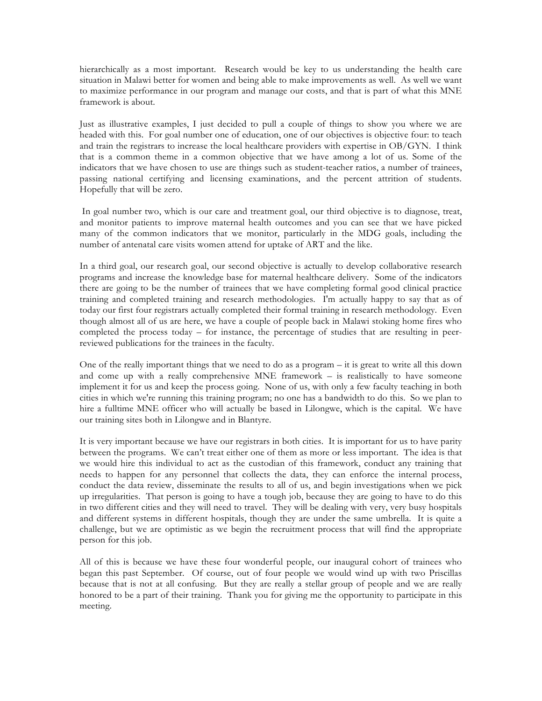hierarchically as a most important. Research would be key to us understanding the health care situation in Malawi better for women and being able to make improvements as well. As well we want to maximize performance in our program and manage our costs, and that is part of what this MNE framework is about.

Just as illustrative examples, I just decided to pull a couple of things to show you where we are headed with this. For goal number one of education, one of our objectives is objective four: to teach and train the registrars to increase the local healthcare providers with expertise in OB/GYN. I think that is a common theme in a common objective that we have among a lot of us. Some of the indicators that we have chosen to use are things such as student-teacher ratios, a number of trainees, passing national certifying and licensing examinations, and the percent attrition of students. Hopefully that will be zero.

In goal number two, which is our care and treatment goal, our third objective is to diagnose, treat, and monitor patients to improve maternal health outcomes and you can see that we have picked many of the common indicators that we monitor, particularly in the MDG goals, including the number of antenatal care visits women attend for uptake of ART and the like.

In a third goal, our research goal, our second objective is actually to develop collaborative research programs and increase the knowledge base for maternal healthcare delivery. Some of the indicators there are going to be the number of trainees that we have completing formal good clinical practice training and completed training and research methodologies. I'm actually happy to say that as of today our first four registrars actually completed their formal training in research methodology. Even though almost all of us are here, we have a couple of people back in Malawi stoking home fires who completed the process today – for instance, the percentage of studies that are resulting in peerreviewed publications for the trainees in the faculty.

One of the really important things that we need to do as a program – it is great to write all this down and come up with a really comprehensive MNE framework – is realistically to have someone implement it for us and keep the process going. None of us, with only a few faculty teaching in both cities in which we're running this training program; no one has a bandwidth to do this. So we plan to hire a fulltime MNE officer who will actually be based in Lilongwe, which is the capital. We have our training sites both in Lilongwe and in Blantyre.

It is very important because we have our registrars in both cities. It is important for us to have parity between the programs. We can't treat either one of them as more or less important. The idea is that we would hire this individual to act as the custodian of this framework, conduct any training that needs to happen for any personnel that collects the data, they can enforce the internal process, conduct the data review, disseminate the results to all of us, and begin investigations when we pick up irregularities. That person is going to have a tough job, because they are going to have to do this in two different cities and they will need to travel. They will be dealing with very, very busy hospitals and different systems in different hospitals, though they are under the same umbrella. It is quite a challenge, but we are optimistic as we begin the recruitment process that will find the appropriate person for this job.

All of this is because we have these four wonderful people, our inaugural cohort of trainees who began this past September. Of course, out of four people we would wind up with two Priscillas because that is not at all confusing. But they are really a stellar group of people and we are really honored to be a part of their training. Thank you for giving me the opportunity to participate in this meeting.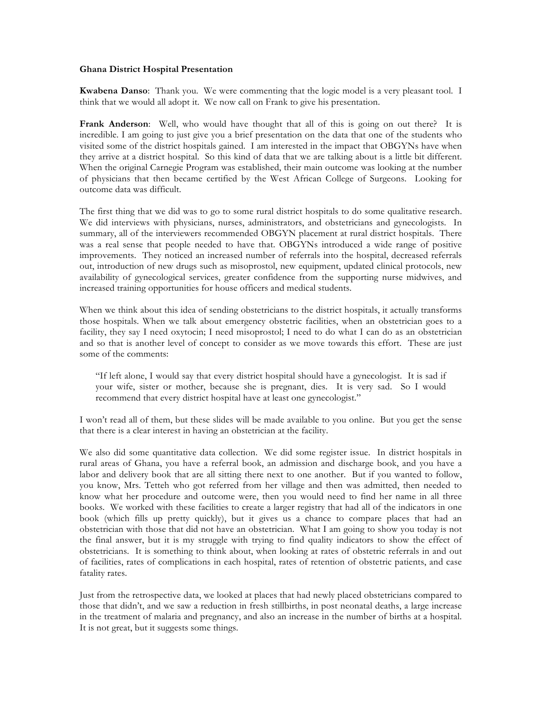### **Ghana District Hospital Presentation**

**Kwabena Danso**: Thank you. We were commenting that the logic model is a very pleasant tool. I think that we would all adopt it. We now call on Frank to give his presentation.

**Frank Anderson**: Well, who would have thought that all of this is going on out there? It is incredible. I am going to just give you a brief presentation on the data that one of the students who visited some of the district hospitals gained. I am interested in the impact that OBGYNs have when they arrive at a district hospital. So this kind of data that we are talking about is a little bit different. When the original Carnegie Program was established, their main outcome was looking at the number of physicians that then became certified by the West African College of Surgeons. Looking for outcome data was difficult.

The first thing that we did was to go to some rural district hospitals to do some qualitative research. We did interviews with physicians, nurses, administrators, and obstetricians and gynecologists. In summary, all of the interviewers recommended OBGYN placement at rural district hospitals. There was a real sense that people needed to have that. OBGYNs introduced a wide range of positive improvements. They noticed an increased number of referrals into the hospital, decreased referrals out, introduction of new drugs such as misoprostol, new equipment, updated clinical protocols, new availability of gynecological services, greater confidence from the supporting nurse midwives, and increased training opportunities for house officers and medical students.

When we think about this idea of sending obstetricians to the district hospitals, it actually transforms those hospitals. When we talk about emergency obstetric facilities, when an obstetrician goes to a facility, they say I need oxytocin; I need misoprostol; I need to do what I can do as an obstetrician and so that is another level of concept to consider as we move towards this effort. These are just some of the comments:

"If left alone, I would say that every district hospital should have a gynecologist. It is sad if your wife, sister or mother, because she is pregnant, dies. It is very sad. So I would recommend that every district hospital have at least one gynecologist."

I won't read all of them, but these slides will be made available to you online. But you get the sense that there is a clear interest in having an obstetrician at the facility.

We also did some quantitative data collection. We did some register issue. In district hospitals in rural areas of Ghana, you have a referral book, an admission and discharge book, and you have a labor and delivery book that are all sitting there next to one another. But if you wanted to follow, you know, Mrs. Tetteh who got referred from her village and then was admitted, then needed to know what her procedure and outcome were, then you would need to find her name in all three books. We worked with these facilities to create a larger registry that had all of the indicators in one book (which fills up pretty quickly), but it gives us a chance to compare places that had an obstetrician with those that did not have an obstetrician. What I am going to show you today is not the final answer, but it is my struggle with trying to find quality indicators to show the effect of obstetricians. It is something to think about, when looking at rates of obstetric referrals in and out of facilities, rates of complications in each hospital, rates of retention of obstetric patients, and case fatality rates.

Just from the retrospective data, we looked at places that had newly placed obstetricians compared to those that didn't, and we saw a reduction in fresh stillbirths, in post neonatal deaths, a large increase in the treatment of malaria and pregnancy, and also an increase in the number of births at a hospital. It is not great, but it suggests some things.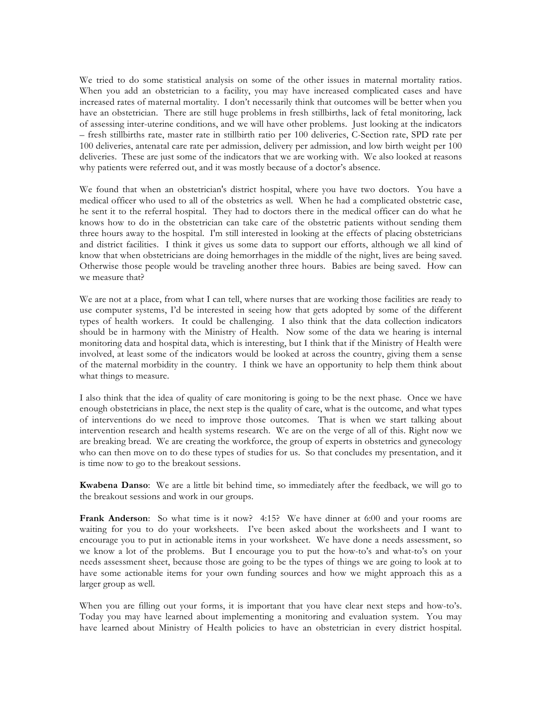We tried to do some statistical analysis on some of the other issues in maternal mortality ratios. When you add an obstetrician to a facility, you may have increased complicated cases and have increased rates of maternal mortality. I don't necessarily think that outcomes will be better when you have an obstetrician. There are still huge problems in fresh stillbirths, lack of fetal monitoring, lack of assessing inter-uterine conditions, and we will have other problems. Just looking at the indicators – fresh stillbirths rate, master rate in stillbirth ratio per 100 deliveries, C-Section rate, SPD rate per 100 deliveries, antenatal care rate per admission, delivery per admission, and low birth weight per 100 deliveries. These are just some of the indicators that we are working with. We also looked at reasons why patients were referred out, and it was mostly because of a doctor's absence.

We found that when an obstetrician's district hospital, where you have two doctors. You have a medical officer who used to all of the obstetrics as well. When he had a complicated obstetric case, he sent it to the referral hospital. They had to doctors there in the medical officer can do what he knows how to do in the obstetrician can take care of the obstetric patients without sending them three hours away to the hospital. I'm still interested in looking at the effects of placing obstetricians and district facilities. I think it gives us some data to support our efforts, although we all kind of know that when obstetricians are doing hemorrhages in the middle of the night, lives are being saved. Otherwise those people would be traveling another three hours. Babies are being saved. How can we measure that?

We are not at a place, from what I can tell, where nurses that are working those facilities are ready to use computer systems, I'd be interested in seeing how that gets adopted by some of the different types of health workers. It could be challenging. I also think that the data collection indicators should be in harmony with the Ministry of Health. Now some of the data we hearing is internal monitoring data and hospital data, which is interesting, but I think that if the Ministry of Health were involved, at least some of the indicators would be looked at across the country, giving them a sense of the maternal morbidity in the country. I think we have an opportunity to help them think about what things to measure.

I also think that the idea of quality of care monitoring is going to be the next phase. Once we have enough obstetricians in place, the next step is the quality of care, what is the outcome, and what types of interventions do we need to improve those outcomes. That is when we start talking about intervention research and health systems research. We are on the verge of all of this. Right now we are breaking bread. We are creating the workforce, the group of experts in obstetrics and gynecology who can then move on to do these types of studies for us. So that concludes my presentation, and it is time now to go to the breakout sessions.

**Kwabena Danso**: We are a little bit behind time, so immediately after the feedback, we will go to the breakout sessions and work in our groups.

**Frank Anderson**: So what time is it now? 4:15? We have dinner at 6:00 and your rooms are waiting for you to do your worksheets. I've been asked about the worksheets and I want to encourage you to put in actionable items in your worksheet. We have done a needs assessment, so we know a lot of the problems. But I encourage you to put the how-to's and what-to's on your needs assessment sheet, because those are going to be the types of things we are going to look at to have some actionable items for your own funding sources and how we might approach this as a larger group as well.

When you are filling out your forms, it is important that you have clear next steps and how-to's. Today you may have learned about implementing a monitoring and evaluation system. You may have learned about Ministry of Health policies to have an obstetrician in every district hospital.